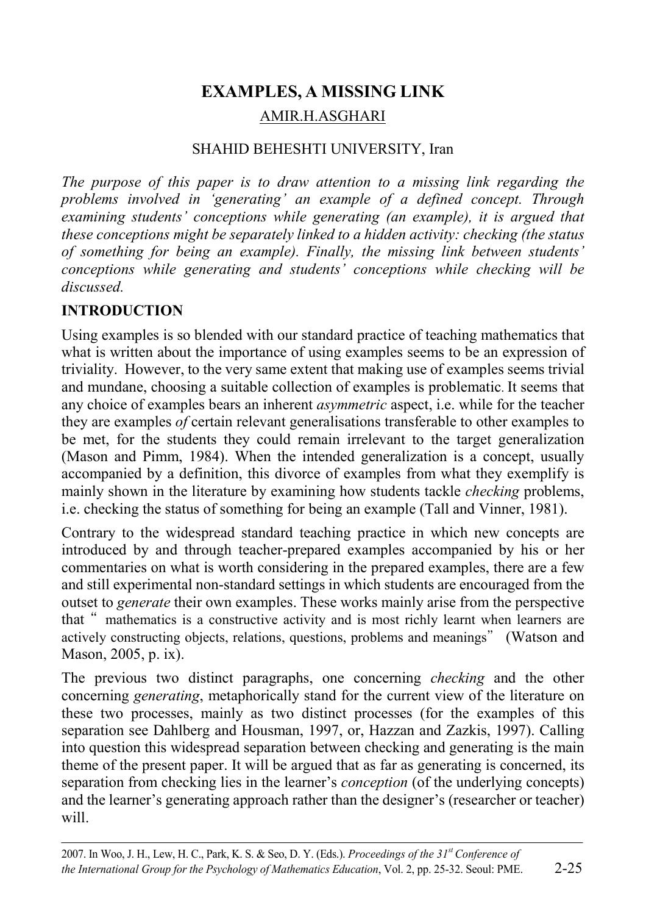# EXAMPLES, A MISSING LINK AMIR.H.ASGHARI

#### SHAHID BEHESHTI UNIVERSITY, Iran

The purpose of this paper is to draw attention to a missing link regarding the problems involved in 'generating' an example of a defined concept. Through examining students' conceptions while generating (an example), it is argued that these conceptions might be separately linked to a hidden activity: checking (the status of something for being an example). Finally, the missing link between students' conceptions while generating and students' conceptions while checking will be discussed.

### INTRODUCTION

Using examples is so blended with our standard practice of teaching mathematics that what is written about the importance of using examples seems to be an expression of triviality. However, to the very same extent that making use of examples seems trivial and mundane, choosing a suitable collection of examples is problematic. It seems that any choice of examples bears an inherent asymmetric aspect, i.e. while for the teacher they are examples of certain relevant generalisations transferable to other examples to be met, for the students they could remain irrelevant to the target generalization (Mason and Pimm, 1984). When the intended generalization is a concept, usually accompanied by a definition, this divorce of examples from what they exemplify is mainly shown in the literature by examining how students tackle *checking* problems, i.e. checking the status of something for being an example (Tall and Vinner, 1981).

Contrary to the widespread standard teaching practice in which new concepts are introduced by and through teacher-prepared examples accompanied by his or her commentaries on what is worth considering in the prepared examples, there are a few and still experimental non-standard settings in which students are encouraged from the outset to generate their own examples. These works mainly arise from the perspective that " mathematics is a constructive activity and is most richly learnt when learners are actively constructing objects, relations, questions, problems and meanings" (Watson and Mason, 2005, p. ix).

The previous two distinct paragraphs, one concerning checking and the other concerning generating, metaphorically stand for the current view of the literature on these two processes, mainly as two distinct processes (for the examples of this separation see Dahlberg and Housman, 1997, or, Hazzan and Zazkis, 1997). Calling into question this widespread separation between checking and generating is the main theme of the present paper. It will be argued that as far as generating is concerned, its separation from checking lies in the learner's conception (of the underlying concepts) and the learner's generating approach rather than the designer's (researcher or teacher) will.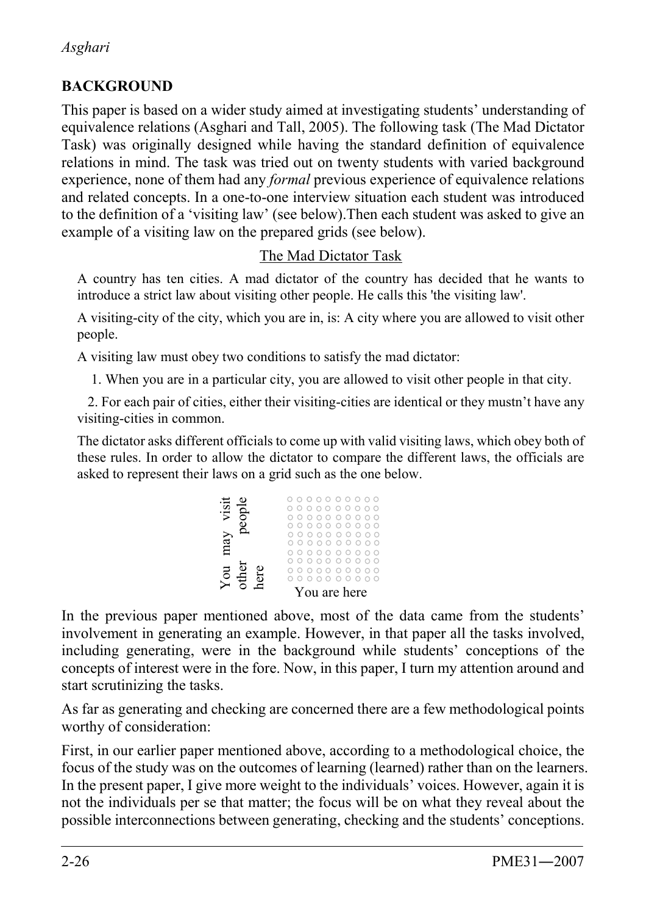# BACKGROUND

This paper is based on a wider study aimed at investigating students' understanding of equivalence relations (Asghari and Tall, 2005). The following task (The Mad Dictator Task) was originally designed while having the standard definition of equivalence relations in mind. The task was tried out on twenty students with varied background experience, none of them had any formal previous experience of equivalence relations and related concepts. In a one-to-one interview situation each student was introduced to the definition of a 'visiting law' (see below).Then each student was asked to give an example of a visiting law on the prepared grids (see below).

#### The Mad Dictator Task

A country has ten cities. A mad dictator of the country has decided that he wants to introduce a strict law about visiting other people. He calls this 'the visiting law'.

A visiting-city of the city, which you are in, is: A city where you are allowed to visit other people.

A visiting law must obey two conditions to satisfy the mad dictator:

1. When you are in a particular city, you are allowed to visit other people in that city.

 2. For each pair of cities, either their visiting-cities are identical or they mustn't have any visiting-cities in common.

The dictator asks different officials to come up with valid visiting laws, which obey both of these rules. In order to allow the dictator to compare the different laws, the officials are asked to represent their laws on a grid such as the one below.

|     | $000000000000$<br>0000000000                           |
|-----|--------------------------------------------------------|
| Ě   | 0 0 0 0 0 0 0 0 0 0                                    |
|     | $0000000000$<br>$\circ$ $\circ$<br>0 0 0 0 0 0 0 0 0 0 |
| may | 0 0 0 0 0 0 0 0 0 0                                    |
|     | 0000000000<br>0000000000                               |
|     | 0000000000<br>0 0 0 0 0 0 0 0 0 0                      |
|     | You are here                                           |

In the previous paper mentioned above, most of the data came from the students' involvement in generating an example. However, in that paper all the tasks involved, including generating, were in the background while students' conceptions of the concepts of interest were in the fore. Now, in this paper, I turn my attention around and start scrutinizing the tasks. For the previous paper mentioned above, most of the data came from the students'<br>  $\frac{3}{5} \frac{1}{5} \frac{1}{5} \frac{1}{5} \frac{1}{5} \frac{1}{5} \frac{1}{5} \frac{1}{5} \frac{1}{5} \frac{1}{5} \frac{1}{5} \frac{1}{5} \frac{1}{5} \frac{1}{5} \frac{1}{5} \frac{1}{5} \frac{1}{5} \frac{1}{5} \frac{1}{5} \frac{1}{$ 

As far as generating and checking are concerned there are a few methodological points worthy of consideration:

First, in our earlier paper mentioned above, according to a methodological choice, the focus of the study was on the outcomes of learning (learned) rather than on the learners. In the present paper, I give more weight to the individuals' voices. However, again it is not the individuals per se that matter; the focus will be on what they reveal about the possible interconnections between generating, checking and the students' conceptions.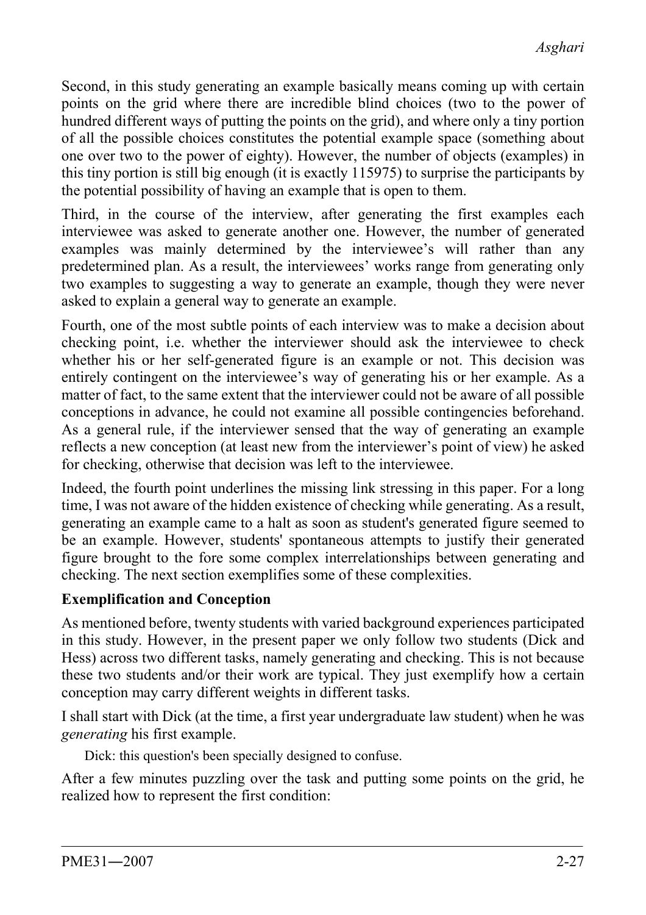Second, in this study generating an example basically means coming up with certain points on the grid where there are incredible blind choices (two to the power of hundred different ways of putting the points on the grid), and where only a tiny portion of all the possible choices constitutes the potential example space (something about one over two to the power of eighty). However, the number of objects (examples) in this tiny portion is still big enough (it is exactly 115975) to surprise the participants by the potential possibility of having an example that is open to them.

Third, in the course of the interview, after generating the first examples each interviewee was asked to generate another one. However, the number of generated examples was mainly determined by the interviewee's will rather than any predetermined plan. As a result, the interviewees' works range from generating only two examples to suggesting a way to generate an example, though they were never asked to explain a general way to generate an example.

Fourth, one of the most subtle points of each interview was to make a decision about checking point, i.e. whether the interviewer should ask the interviewee to check whether his or her self-generated figure is an example or not. This decision was entirely contingent on the interviewee's way of generating his or her example. As a matter of fact, to the same extent that the interviewer could not be aware of all possible conceptions in advance, he could not examine all possible contingencies beforehand. As a general rule, if the interviewer sensed that the way of generating an example reflects a new conception (at least new from the interviewer's point of view) he asked for checking, otherwise that decision was left to the interviewee.

Indeed, the fourth point underlines the missing link stressing in this paper. For a long time, I was not aware of the hidden existence of checking while generating. As a result, generating an example came to a halt as soon as student's generated figure seemed to be an example. However, students' spontaneous attempts to justify their generated figure brought to the fore some complex interrelationships between generating and checking. The next section exemplifies some of these complexities.

# Exemplification and Conception

As mentioned before, twenty students with varied background experiences participated in this study. However, in the present paper we only follow two students (Dick and Hess) across two different tasks, namely generating and checking. This is not because these two students and/or their work are typical. They just exemplify how a certain conception may carry different weights in different tasks.

I shall start with Dick (at the time, a first year undergraduate law student) when he was generating his first example.

Dick: this question's been specially designed to confuse.

After a few minutes puzzling over the task and putting some points on the grid, he realized how to represent the first condition: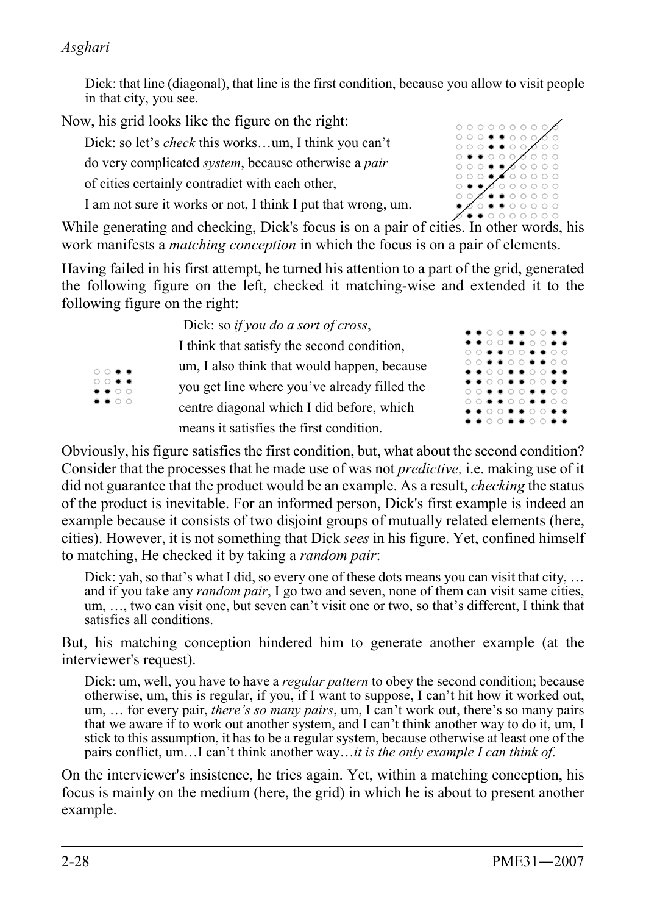Dick: that line (diagonal), that line is the first condition, because you allow to visit people in that city, you see.

Now, his grid looks like the figure on the right:

Dick: so let's *check* this works...um, I think you can't do very complicated system, because otherwise a pair of cities certainly contradict with each other,

I am not sure it works or not, I think I put that wrong, um.

 $\bullet$   $\bullet$   $\circ$  $\bigcirc$  $\begin{array}{ccc}\n0 & 0 & 0 & 0 & 0\n\end{array}$ While generating and checking, Dick's focus is on a pair of cities. In other words, his work manifests a *matching conception* in which the focus is on a pair of elements.

Having failed in his first attempt, he turned his attention to a part of the grid, generated the following figure on the left, checked it matching-wise and extended it to the following figure on the right:

|                                                                   | Dick: so if you do a sort of cross,          |                                                                                                                                                                                                               |
|-------------------------------------------------------------------|----------------------------------------------|---------------------------------------------------------------------------------------------------------------------------------------------------------------------------------------------------------------|
|                                                                   | I think that satisfy the second condition,   | $\begin{array}{cccccccccccccc} \bullet & \bullet & \circ & \circ & \bullet & \bullet & \circ & \circ & \bullet & \bullet \end{array}$<br>$\circ\circ\bullet\bullet\circ\circ\bullet\bullet\circ\circ$         |
| $\circ\circ\bullet\bullet$                                        | um, I also think that would happen, because  | $\circ\circ\bullet\bullet\circ\circ\bullet\bullet\circ\circ$                                                                                                                                                  |
| $\circ$ $\circ$ $\bullet$ $\bullet$<br>$\bullet\bullet\circ\circ$ | you get line where you've already filled the | $\begin{array}{cccccccccccccc} \bullet & \bullet & \circ & \circ & \circ & \bullet & \bullet & \circ & \circ & \bullet & \bullet \end{array}$<br>$\circ\circ\bullet\bullet\circ\circ\bullet\bullet\circ\circ$ |
| $\bullet\bullet\circ\circ$                                        | centre diagonal which I did before, which    | $\circ\circ\bullet\bullet\circ\circ\bullet\bullet\circ\circ$                                                                                                                                                  |
|                                                                   | means it satisfies the first condition.      | $\begin{array}{cccccccccccccccccc} \bullet & \bullet & \circ & \circ & \circ & \bullet & \bullet & \circ & \circ & \bullet & \bullet \end{array}$                                                             |

Obviously, his figure satisfies the first condition, but, what about the second condition? Consider that the processes that he made use of was not predictive, i.e. making use of it did not guarantee that the product would be an example. As a result, *checking* the status of the product is inevitable. For an informed person, Dick's first example is indeed an example because it consists of two disjoint groups of mutually related elements (here, cities). However, it is not something that Dick sees in his figure. Yet, confined himself to matching, He checked it by taking a random pair:

Dick: yah, so that's what I did, so every one of these dots means you can visit that city, ... and if you take any *random pair*, I go two and seven, none of them can visit same cities, um, …, two can visit one, but seven can't visit one or two, so that's different, I think that satisfies all conditions.

But, his matching conception hindered him to generate another example (at the interviewer's request).

Dick: um, well, you have to have a *regular pattern* to obey the second condition; because otherwise, um, this is regular, if you, if I want to suppose, I can't hit how it worked out, um, ... for every pair, *there's so many pairs*, um, I can't work out, there's so many pairs that we aware if to work out another system, and I can't think another way to do it, um, I stick to this assumption, it has to be a regular system, because otherwise at least one of the pairs conflict, um…I can't think another way…it is the only example I can think of.

On the interviewer's insistence, he tries again. Yet, within a matching conception, his focus is mainly on the medium (here, the grid) in which he is about to present another example.

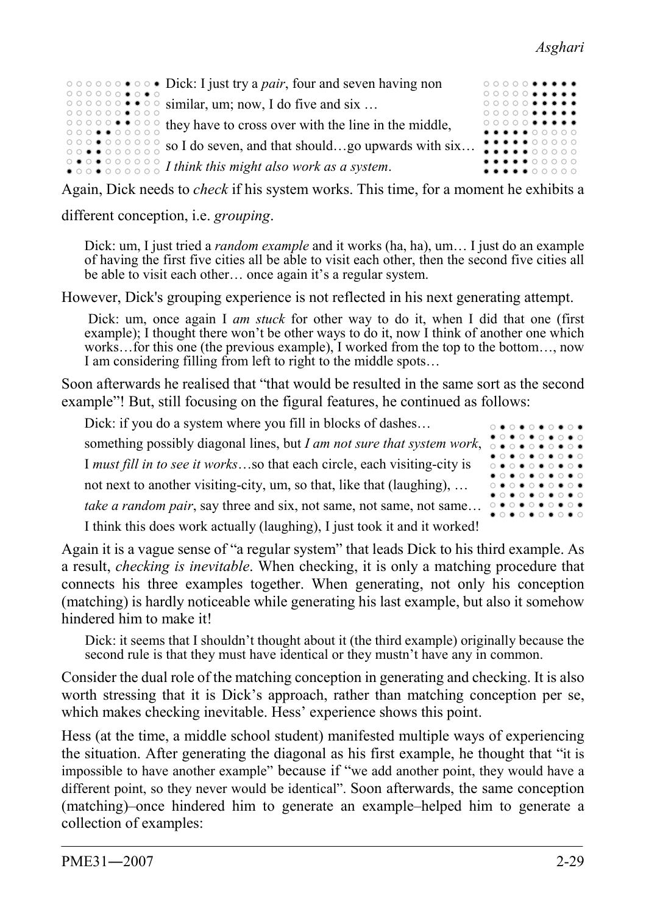| ○○○○○○●○○● Dick: I just try a <i>pair</i> , four and seven having non<br>000000000000                                                                     | 0000000000<br>0000000000                                                                                                                                                                                                                                                                                   |
|-----------------------------------------------------------------------------------------------------------------------------------------------------------|------------------------------------------------------------------------------------------------------------------------------------------------------------------------------------------------------------------------------------------------------------------------------------------------------------|
| $\circ \circ \circ \circ \circ \bullet \bullet \circ \circ \circ$ similar, um; now, I do five and six<br>000000000000                                     | 0000000000<br>0000000000                                                                                                                                                                                                                                                                                   |
| ○○○○○●●○○○○ they have to cross over with the line in the middle,                                                                                          | 0000000000<br>$\begin{array}{cccccccccccccc} \bullet & \bullet & \bullet & \bullet & \bullet & \circ & \circ & \circ & \circ & \circ & \circ & \circ \end{array}$                                                                                                                                          |
| $\frac{\circ}{\circ}$ $\frac{\circ}{\circ}$ $\frac{\circ}{\circ}$ $\frac{\circ}{\circ}$ so I do seven, and that shouldgo upwards with six                 | $\begin{array}{cccccccccccccc} \bullet & \bullet & \bullet & \bullet & \bullet & \circ & \circ & \circ & \circ & \circ & \circ & \circ \end{array}$                                                                                                                                                        |
| $\frac{\circ \bullet \circ \bullet \circ \circ \circ \circ \circ}{\bullet \circ \circ \circ \circ \circ \circ}$ I think this might also work as a system. | $\begin{array}{cccccccccccccc} \bullet & \bullet & \bullet & \bullet & \bullet & \circ & \circ & \circ & \circ & \circ & \circ & \circ \end{array}$<br>$\begin{array}{cccccccccccccc} \bullet & \bullet & \bullet & \bullet & \bullet & \circ & \circ & \circ & \circ & \circ & \circ & \circ \end{array}$ |

Again, Dick needs to check if his system works. This time, for a moment he exhibits a

different conception, *i.e. grouping.* 

Dick: um, I just tried a *random example* and it works (ha, ha), um... I just do an example of having the first five cities all be able to visit each other, then the second five cities all be able to visit each other... once again it's a regular system.

However, Dick's grouping experience is not reflected in his next generating attempt.

Dick: um, once again I *am stuck* for other way to do it, when I did that one (first example); I thought there won't be other ways to do it, now I think of another one which works…for this one (the previous example), I worked from the top to the bottom…, now I am considering filling from left to right to the middle spots…

Soon afterwards he realised that "that would be resulted in the same sort as the second example"! But, still focusing on the figural features, he continued as follows:

| Dick: if you do a system where you fill in blocks of dashes                                                                      | $\circ\bullet\circ\bullet\circ\bullet\circ\bullet\circ\bullet$ |
|----------------------------------------------------------------------------------------------------------------------------------|----------------------------------------------------------------|
| something possibly diagonal lines, but I am not sure that system work, $\circ \bullet \circ \bullet \circ \bullet \circ \bullet$ |                                                                |
| I must fill in to see it worksso that each circle, each visiting-city is                                                         | $\circ\bullet\circ\bullet\circ\bullet\circ\bullet\circ\bullet$ |
| not next to another visiting-city, um, so that, like that (laughing),                                                            | $\circ\bullet\circ\bullet\circ\bullet\circ\bullet\circ\bullet$ |
| <i>take a random pair</i> , say three and six, not same, not same, not same                                                      | $\circ\bullet\circ\bullet\circ\bullet\circ\bullet\circ\bullet$ |
| I think this does work actually (laughing), I just took it and it worked!                                                        |                                                                |

Again it is a vague sense of "a regular system" that leads Dick to his third example. As a result, checking is inevitable. When checking, it is only a matching procedure that connects his three examples together. When generating, not only his conception (matching) is hardly noticeable while generating his last example, but also it somehow hindered him to make it!

Dick: it seems that I shouldn't thought about it (the third example) originally because the second rule is that they must have identical or they mustn't have any in common.

Consider the dual role of the matching conception in generating and checking. It is also worth stressing that it is Dick's approach, rather than matching conception per se, which makes checking inevitable. Hess' experience shows this point.

Hess (at the time, a middle school student) manifested multiple ways of experiencing the situation. After generating the diagonal as his first example, he thought that "it is impossible to have another example" because if "we add another point, they would have a different point, so they never would be identical". Soon afterwards, the same conception (matching)–once hindered him to generate an example–helped him to generate a collection of examples: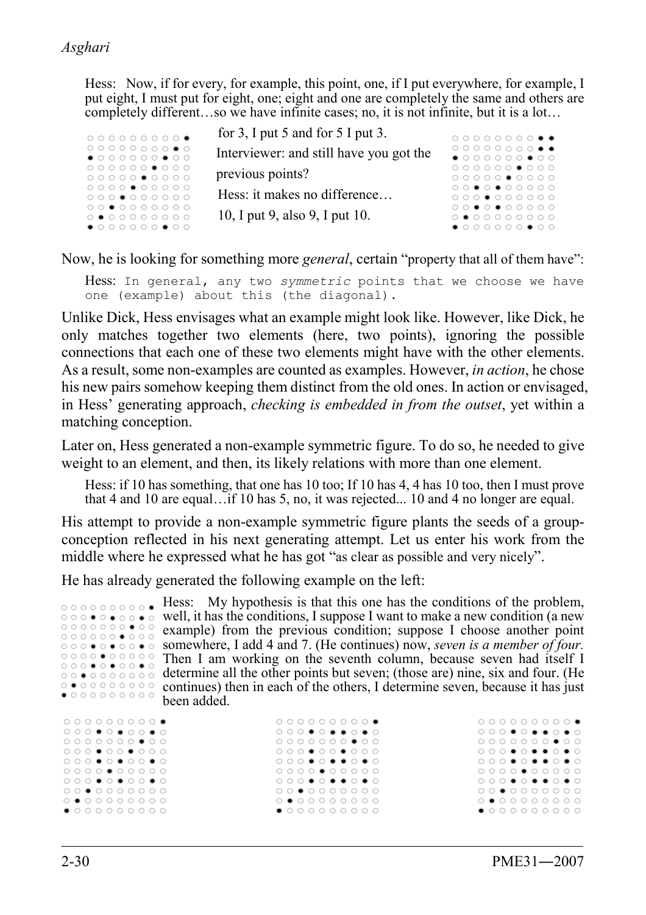#### Asghari

Hess: Now, if for every, for example, this point, one, if I put everywhere, for example, I put eight, I must put for eight, one; eight and one are completely the same and others are completely different…so we have infinite cases; no, it is not infinite, but it is a lot…

| 0000000000                                                                                                                                                                                                     | for 3, I put 5 and for 5 I put 3.       | 0000000000                                                                                                                                                                                                       |
|----------------------------------------------------------------------------------------------------------------------------------------------------------------------------------------------------------------|-----------------------------------------|------------------------------------------------------------------------------------------------------------------------------------------------------------------------------------------------------------------|
| 000000000000<br>$\bullet$ 0 0 0 0 0 0 0 $\bullet$ 0 0                                                                                                                                                          | Interviewer: and still have you got the | $\circ\circ\circ\circ\circ\circ\circ\bullet\bullet\bullet$<br>$\bullet$ 0 0 0 0 0 0 0 $\bullet$ 0 0                                                                                                              |
| 0000000000<br>$000000000000$                                                                                                                                                                                   | previous points?                        | $000000000000$<br>0000000000                                                                                                                                                                                     |
| $\circ\circ\circ\circ\bullet\circ\circ\circ\circ\circ$<br>00000000000                                                                                                                                          | Hess: it makes no difference            |                                                                                                                                                                                                                  |
| $\circ\circ\bullet\circ\circ\circ\circ\circ\circ\circ$<br>0 0 0 0 0 0 0 0 0 0<br>$\begin{array}{cccccccccccccc} \bullet & \circ & \circ & \circ & \circ & \circ & \circ & \bullet & \circ & \circ \end{array}$ | 10, I put 9, also 9, I put 10.          | $\circ\circ\bullet\circ\bullet\circ\circ\circ\circ\circ$<br>0 0 0 0 0 0 0 0 0 0<br>$\begin{array}{cccccccccccccc} \bullet & \circ & \circ & \circ & \circ & \circ & \circ & \bullet & \circ & \circ \end{array}$ |

Now, he is looking for something more *general*, certain "property that all of them have":

Hess: In general, any two symmetric points that we choose we have one (example) about this (the diagonal).

Unlike Dick, Hess envisages what an example might look like. However, like Dick, he only matches together two elements (here, two points), ignoring the possible connections that each one of these two elements might have with the other elements. As a result, some non-examples are counted as examples. However, *in action*, he chose his new pairs somehow keeping them distinct from the old ones. In action or envisaged, in Hess' generating approach, checking is embedded in from the outset, yet within a matching conception.

Later on, Hess generated a non-example symmetric figure. To do so, he needed to give weight to an element, and then, its likely relations with more than one element.

Hess: if 10 has something, that one has 10 too; If 10 has 4, 4 has 10 too, then I must prove that 4 and 10 are equal…if 10 has 5, no, it was rejected... 10 and 4 no longer are equal.

His attempt to provide a non-example symmetric figure plants the seeds of a groupconception reflected in his next generating attempt. Let us enter his work from the middle where he expressed what he has got "as clear as possible and very nicely".

He has already generated the following example on the left:

|                | ococococo Hess: My hypothesis is that this one has the conditions of the problem,                                                                  |
|----------------|----------------------------------------------------------------------------------------------------------------------------------------------------|
|                | $\circ \circ \circ \bullet \circ \bullet \circ \bullet \circ \bullet$ well, it has the conditions, I suppose I want to make a new condition (a new |
| 00000000000    | accooocogoogeco example) from the previous condition; suppose I choose another point                                                               |
|                | $\circ \circ \circ \bullet \circ \bullet \circ \bullet$ somewhere, I add 4 and 7. (He continues) now, seven is a member of four.                   |
|                | oooooooooo Then I am working on the seventh column, because seven had itself I                                                                     |
| $000000000000$ |                                                                                                                                                    |
|                | $\circ \bullet \circ \circ \circ \circ \circ \circ \circ$ continues) then in each of the others, I determine seven, because it has just            |
| 0000000000     | been added.                                                                                                                                        |

| $\circ\circ\circ\circ\circ\circ\circ\circ\bullet$          | 000000000●                                                                                                                      | $\circ\circ\circ\circ\circ\circ\circ\circ\bullet$                                                                       |
|------------------------------------------------------------|---------------------------------------------------------------------------------------------------------------------------------|-------------------------------------------------------------------------------------------------------------------------|
| $\circ\circ\circ\bullet\circ\bullet\circ\circ\bullet\circ$ | $\circ\circ\circ\bullet\circ\bullet\bullet\circ\bullet\circ$                                                                    | $\circ\circ\circ\bullet\circ\bullet\bullet\circ\bullet\circ$                                                            |
| $000000000000$                                             | $\circ\circ\circ\circ\circ\circ\bullet\circ\circ$                                                                               | 0000000●00                                                                                                              |
| $\circ\circ\circ\bullet\circ\circ\bullet\circ\circ\circ$   | $\circ\circ\circ\bullet\circ\circ\bullet\circ\circ\circ$                                                                        | $\circ\circ\circ\bullet\circ\bullet\bullet\circ\bullet\circ$                                                            |
| $\circ\circ\circ\bullet\circ\bullet\circ\circ\bullet\circ$ | $\circ\circ\circ\bullet\circ\bullet\bullet\circ\bullet\circ$                                                                    | $\circ\circ\circ\bullet\circ\bullet\bullet\circ\bullet\circ$                                                            |
| $\circ\circ\circ\circ\bullet\circ\circ\circ\circ\circ$     | $\circ\circ\circ\circ\bullet\circ\circ\circ\circ\circ$                                                                          | 0000000000                                                                                                              |
| $\circ\circ\circ\bullet\circ\bullet\circ\circ\bullet\circ$ | $\circ\circ\circ\bullet\circ\bullet\bullet\circ\bullet\circ$                                                                    | $\circ\circ\circ\bullet\circ\bullet\bullet\circ\bullet\circ$                                                            |
| $\circ\circ\bullet\circ\circ\circ\circ\circ\circ\circ$     | $\circ\circ\bullet\circ\circ\circ\circ\circ\circ\circ$                                                                          | $\circ\circ\bullet\circ\circ\circ\circ\circ\circ\circ$                                                                  |
|                                                            | $\begin{array}{cccccccccc} \circ & \bullet & \circ & \circ & \circ & \circ & \circ & \circ & \circ & \circ & \circ \end{array}$ | $\begin{array}{cccccccccc} \circ & \bullet & \circ & \circ & \circ & \circ & \circ & \circ & \circ & \circ \end{array}$ |
|                                                            |                                                                                                                                 |                                                                                                                         |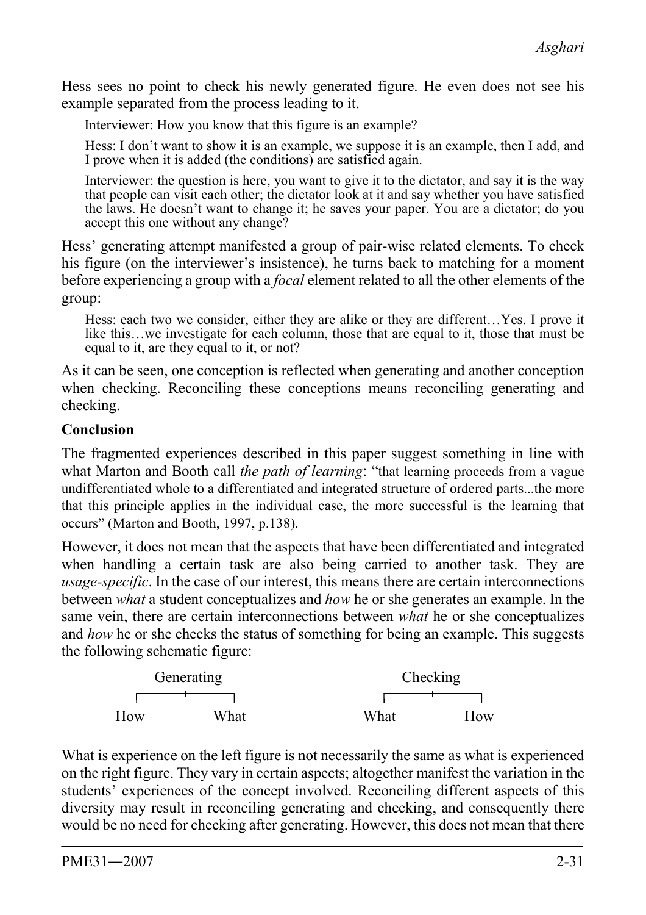Hess sees no point to check his newly generated figure. He even does not see his example separated from the process leading to it.

Interviewer: How you know that this figure is an example?

Hess: I don't want to show it is an example, we suppose it is an example, then I add, and I prove when it is added (the conditions) are satisfied again.

Interviewer: the question is here, you want to give it to the dictator, and say it is the way that people can visit each other; the dictator look at it and say whether you have satisfied the laws. He doesn't want to change it; he saves your paper. You are a dictator; do you accept this one without any change?

Hess' generating attempt manifested a group of pair-wise related elements. To check his figure (on the interviewer's insistence), he turns back to matching for a moment before experiencing a group with a *focal* element related to all the other elements of the group:

Hess: each two we consider, either they are alike or they are different…Yes. I prove it like this…we investigate for each column, those that are equal to it, those that must be equal to it, are they equal to it, or not?

As it can be seen, one conception is reflected when generating and another conception when checking. Reconciling these conceptions means reconciling generating and checking.

## Conclusion

The fragmented experiences described in this paper suggest something in line with what Marton and Booth call the path of learning: "that learning proceeds from a vague undifferentiated whole to a differentiated and integrated structure of ordered parts...the more that this principle applies in the individual case, the more successful is the learning that occurs" (Marton and Booth, 1997, p.138).

However, it does not mean that the aspects that have been differentiated and integrated when handling a certain task are also being carried to another task. They are usage-specific. In the case of our interest, this means there are certain interconnections between what a student conceptualizes and how he or she generates an example. In the same vein, there are certain interconnections between *what* he or she conceptualizes and how he or she checks the status of something for being an example. This suggests the following schematic figure:



What is experience on the left figure is not necessarily the same as what is experienced on the right figure. They vary in certain aspects; altogether manifest the variation in the students' experiences of the concept involved. Reconciling different aspects of this diversity may result in reconciling generating and checking, and consequently there would be no need for checking after generating. However, this does not mean that there